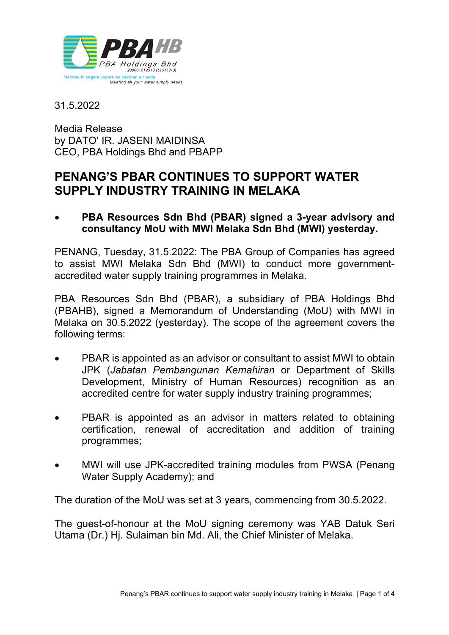

31.5.2022

Media Release by DATO' IR. JASENI MAIDINSA CEO, PBA Holdings Bhd and PBAPP

## **PENANG'S PBAR CONTINUES TO SUPPORT WATER SUPPLY INDUSTRY TRAINING IN MELAKA**

• **PBA Resources Sdn Bhd (PBAR) signed a 3-year advisory and consultancy MoU with MWI Melaka Sdn Bhd (MWI) yesterday.**

PENANG, Tuesday, 31.5.2022: The PBA Group of Companies has agreed to assist MWI Melaka Sdn Bhd (MWI) to conduct more governmentaccredited water supply training programmes in Melaka.

PBA Resources Sdn Bhd (PBAR), a subsidiary of PBA Holdings Bhd (PBAHB), signed a Memorandum of Understanding (MoU) with MWI in Melaka on 30.5.2022 (yesterday). The scope of the agreement covers the following terms:

- PBAR is appointed as an advisor or consultant to assist MWI to obtain JPK (*Jabatan Pembangunan Kemahiran* or Department of Skills Development, Ministry of Human Resources) recognition as an accredited centre for water supply industry training programmes;
- PBAR is appointed as an advisor in matters related to obtaining certification, renewal of accreditation and addition of training programmes;
- MWI will use JPK-accredited training modules from PWSA (Penang Water Supply Academy); and

The duration of the MoU was set at 3 years, commencing from 30.5.2022.

The guest-of-honour at the MoU signing ceremony was YAB Datuk Seri Utama (Dr.) Hj. Sulaiman bin Md. Ali, the Chief Minister of Melaka.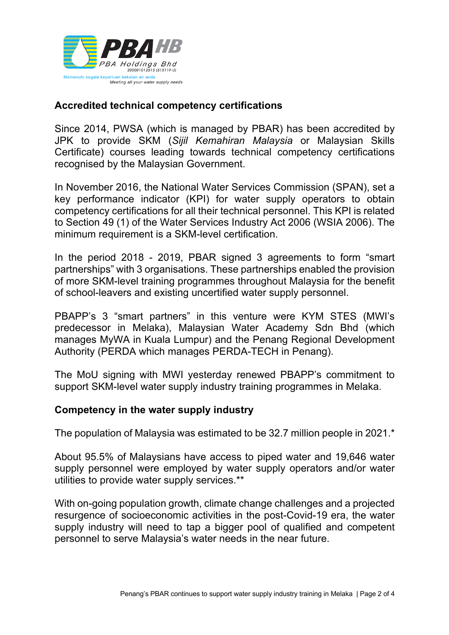

## **Accredited technical competency certifications**

Since 2014, PWSA (which is managed by PBAR) has been accredited by JPK to provide SKM (*Sijil Kemahiran Malaysia* or Malaysian Skills Certificate) courses leading towards technical competency certifications recognised by the Malaysian Government.

In November 2016, the National Water Services Commission (SPAN), set a key performance indicator (KPI) for water supply operators to obtain competency certifications for all their technical personnel. This KPI is related to Section 49 (1) of the Water Services Industry Act 2006 (WSIA 2006). The minimum requirement is a SKM-level certification.

In the period 2018 - 2019, PBAR signed 3 agreements to form "smart partnerships" with 3 organisations. These partnerships enabled the provision of more SKM-level training programmes throughout Malaysia for the benefit of school-leavers and existing uncertified water supply personnel.

PBAPP's 3 "smart partners" in this venture were KYM STES (MWI's predecessor in Melaka), Malaysian Water Academy Sdn Bhd (which manages MyWA in Kuala Lumpur) and the Penang Regional Development Authority (PERDA which manages PERDA-TECH in Penang).

The MoU signing with MWI yesterday renewed PBAPP's commitment to support SKM-level water supply industry training programmes in Melaka.

## **Competency in the water supply industry**

The population of Malaysia was estimated to be 32.7 million people in 2021.\*

About 95.5% of Malaysians have access to piped water and 19,646 water supply personnel were employed by water supply operators and/or water utilities to provide water supply services.\*\*

With on-going population growth, climate change challenges and a projected resurgence of socioeconomic activities in the post-Covid-19 era, the water supply industry will need to tap a bigger pool of qualified and competent personnel to serve Malaysia's water needs in the near future.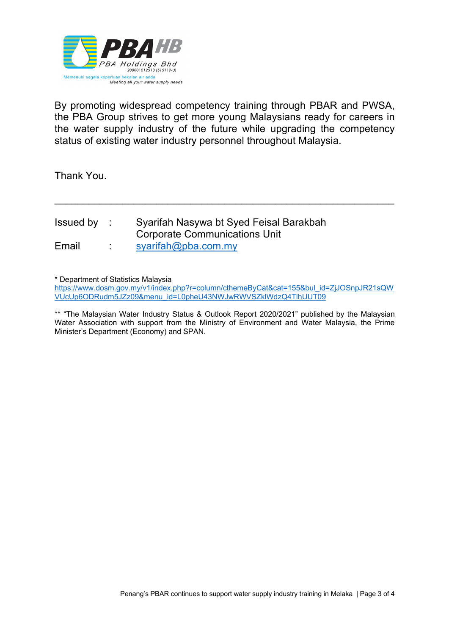

By promoting widespread competency training through PBAR and PWSA, the PBA Group strives to get more young Malaysians ready for careers in the water supply industry of the future while upgrading the competency status of existing water industry personnel throughout Malaysia.

\_\_\_\_\_\_\_\_\_\_\_\_\_\_\_\_\_\_\_\_\_\_\_\_\_\_\_\_\_\_\_\_\_\_\_\_\_\_\_\_\_\_\_\_\_\_\_\_\_\_\_\_\_\_\_\_\_\_\_\_

Thank You.

| Issued by : | Syarifah Nasywa bt Syed Feisal Barakbah |
|-------------|-----------------------------------------|
|             | Corporate Communications Unit           |
| Email       | syarifah@pba.com.my                     |

\* Department of Statistics Malaysia

https://www.dosm.gov.my/v1/index.php?r=column/cthemeByCat&cat=155&bul\_id=ZjJOSnpJR21sQW VUcUp6ODRudm5JZz09&menu\_id=L0pheU43NWJwRWVSZklWdzQ4TlhUUT09

\*\* "The Malaysian Water Industry Status & Outlook Report 2020/2021" published by the Malaysian Water Association with support from the Ministry of Environment and Water Malaysia, the Prime Minister's Department (Economy) and SPAN.